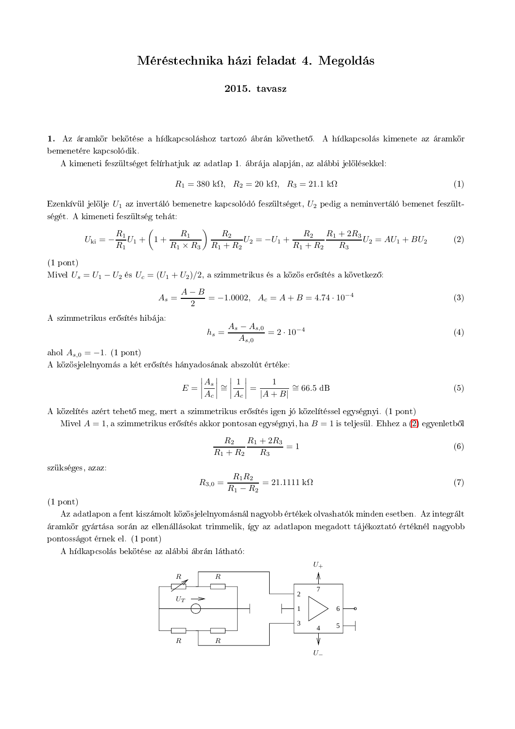## Méréstechnika házi feladat 4. Megoldás

## 2015. tavasz

1. Az áramkör bekötése a hídkapcsoláshoz tartozó ábrán követhető. A hídkapcsolás kimenete az áramkör bemenetére kapcsolódik.

A kimeneti feszültséget felírhatjuk az adatlap 1. ábrája alapján, az alábbi jelölésekkel:

$$
R_1 = 380 \text{ k}\Omega, \quad R_2 = 20 \text{ k}\Omega, \quad R_3 = 21.1 \text{ k}\Omega \tag{1}
$$

Ezenkívül jelölje  $U_1$  az invertáló bemenetre kapcsolódó feszültséget,  $U_2$  pedig a neminvertáló bemenet feszültségét. A kimeneti feszültség tehát:

$$
U_{\rm ki} = -\frac{R_1}{R_1}U_1 + \left(1 + \frac{R_1}{R_1 \times R_3}\right)\frac{R_2}{R_1 + R_2}U_2 = -U_1 + \frac{R_2}{R_1 + R_2}\frac{R_1 + 2R_3}{R_3}U_2 = AU_1 + BU_2\tag{2}
$$

 $(1$  pont)

Mivel  $U_s = U_1 - U_2$  és  $U_c = (U_1 + U_2)/2$ , a szimmetrikus és a közös erősítés a következő:

$$
A_s = \frac{A - B}{2} = -1.0002, \ \ A_c = A + B = 4.74 \cdot 10^{-4} \tag{3}
$$

A szimmetrikus erősítés hibája:

$$
h_s = \frac{A_s - A_{s,0}}{A_{s,0}} = 2 \cdot 10^{-4} \tag{4}
$$

ahol  $A_{s,0} = -1$ . (1 pont)

A közösjelelnyomás a két erősítés hányadosának abszolút értéke:

$$
E = \left| \frac{A_s}{A_c} \right| \approx \left| \frac{1}{A_c} \right| = \frac{1}{|A + B|} \approx 66.5 \text{ dB}
$$
 (5)

A közelítés azért tehető meg, mert a szimmetrikus erősítés igen jó közelítéssel egységnyi. (1 pont)

Mivel  $A = 1$ , a szimmetrikus erősítés akkor pontosan egységnyi, ha  $B = 1$  is teljesül. Ehhez a (2) egyenletből

$$
\frac{R_2}{R_1 + R_2} \frac{R_1 + 2R_3}{R_3} = 1
$$
\n(6)

szükséges, azaz:

$$
R_{3,0} = \frac{R_1 R_2}{R_1 - R_2} = 21.1111 \text{ k}\Omega \tag{7}
$$

 $(1$  pont)

Az adatlapon a fent kiszámolt közösjelelnyomásnál nagyobb értékek olvashatók minden esetben. Az integrált áramkör gyártása során az ellenállásokat trimmelik, így az adatlapon megadott tájékoztató értéknél nagyobb pontosságot érnek el. (1 pont)

A hídkapcsolás bekötése az alábbi ábrán látható: